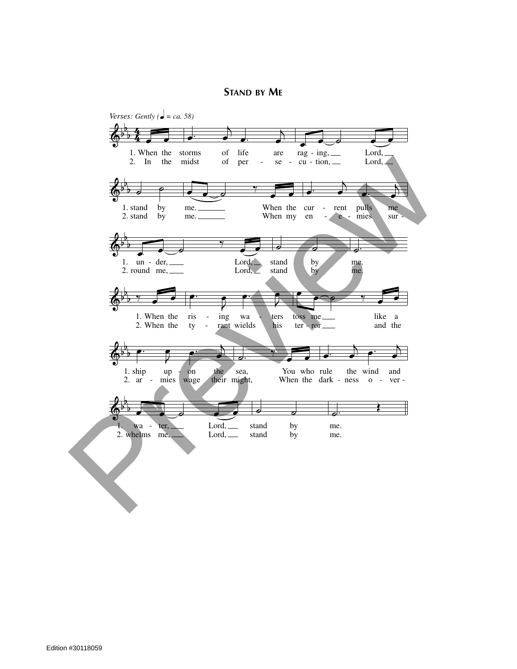**STAND BY ME**